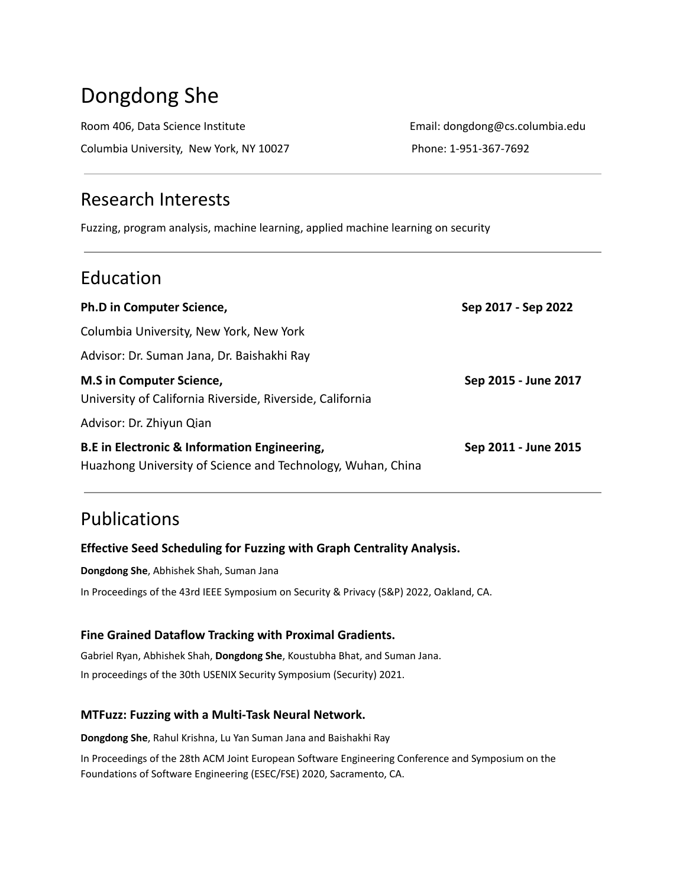# Dongdong She

Room 406, Data Science Institute **Email: dongdong@cs.columbia.edu** Columbia University, New York, NY 10027 Phone: 1-951-367-7692

# Research Interests

Fuzzing, program analysis, machine learning, applied machine learning on security

# Education

| <b>Ph.D in Computer Science,</b>                                                                            | Sep 2017 - Sep 2022  |
|-------------------------------------------------------------------------------------------------------------|----------------------|
| Columbia University, New York, New York                                                                     |                      |
| Advisor: Dr. Suman Jana, Dr. Baishakhi Ray                                                                  |                      |
| <b>M.S</b> in Computer Science,<br>University of California Riverside, Riverside, California                | Sep 2015 - June 2017 |
| Advisor: Dr. Zhiyun Qian                                                                                    |                      |
| B.E in Electronic & Information Engineering,<br>Huazhong University of Science and Technology, Wuhan, China | Sep 2011 - June 2015 |

# Publications

## **Effective Seed Scheduling for Fuzzing with Graph Centrality Analysis.**

**Dongdong She**, Abhishek Shah, Suman Jana

In Proceedings of the 43rd IEEE Symposium on Security & Privacy (S&P) 2022, Oakland, CA.

### **Fine Grained Dataflow Tracking with Proximal Gradients.**

Gabriel Ryan, Abhishek Shah, **Dongdong She**, Koustubha Bhat, and Suman Jana. In proceedings of the 30th USENIX Security Symposium (Security) 2021.

### **MTFuzz: Fuzzing with a Multi-Task Neural Network.**

**Dongdong She**, Rahul Krishna, Lu Yan Suman Jana and Baishakhi Ray

In Proceedings of the 28th ACM Joint European Software Engineering Conference and Symposium on the Foundations of Software Engineering (ESEC/FSE) 2020, Sacramento, CA.